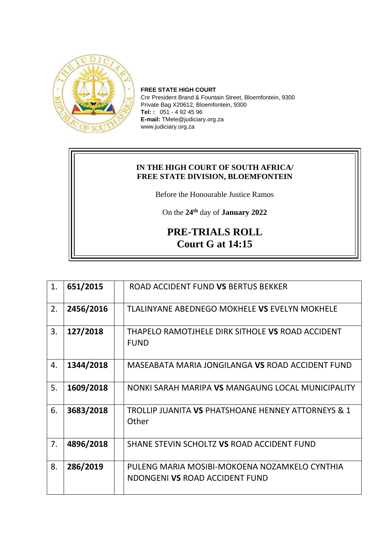

**FREE STATE HIGH COURT** Cnr President Brand & Fountain Street, Bloemfontein, 9300 Private Bag X20612, Bloemfontein, 9300 **Tel: :** 051 - 4 92 45 96 **E-mail:** TMele@judiciary.org.za www.judiciary.org.za

## **IN THE HIGH COURT OF SOUTH AFRICA/ FREE STATE DIVISION, BLOEMFONTEIN**

Before the Honourable Justice Ramos

On the **24th** day of **January 2022**

## **PRE-TRIALS ROLL Court G at 14:15**

| 1. | 651/2015  | ROAD ACCIDENT FUND VS BERTUS BEKKER                                             |
|----|-----------|---------------------------------------------------------------------------------|
| 2. | 2456/2016 | TLALINYANE ABEDNEGO MOKHELE VS EVELYN MOKHELE                                   |
| 3. | 127/2018  | THAPELO RAMOTJHELE DIRK SITHOLE VS ROAD ACCIDENT<br><b>FUND</b>                 |
| 4. | 1344/2018 | MASEABATA MARIA JONGILANGA VS ROAD ACCIDENT FUND                                |
| 5. | 1609/2018 | NONKI SARAH MARIPA VS MANGAUNG LOCAL MUNICIPALITY                               |
| 6. | 3683/2018 | <b>TROLLIP JUANITA VS PHATSHOANE HENNEY ATTORNEYS &amp; 1</b><br>Other          |
| 7. | 4896/2018 | SHANE STEVIN SCHOLTZ VS ROAD ACCIDENT FUND                                      |
| 8. | 286/2019  | PULENG MARIA MOSIBI-MOKOENA NOZAMKELO CYNTHIA<br>NDONGENI VS ROAD ACCIDENT FUND |